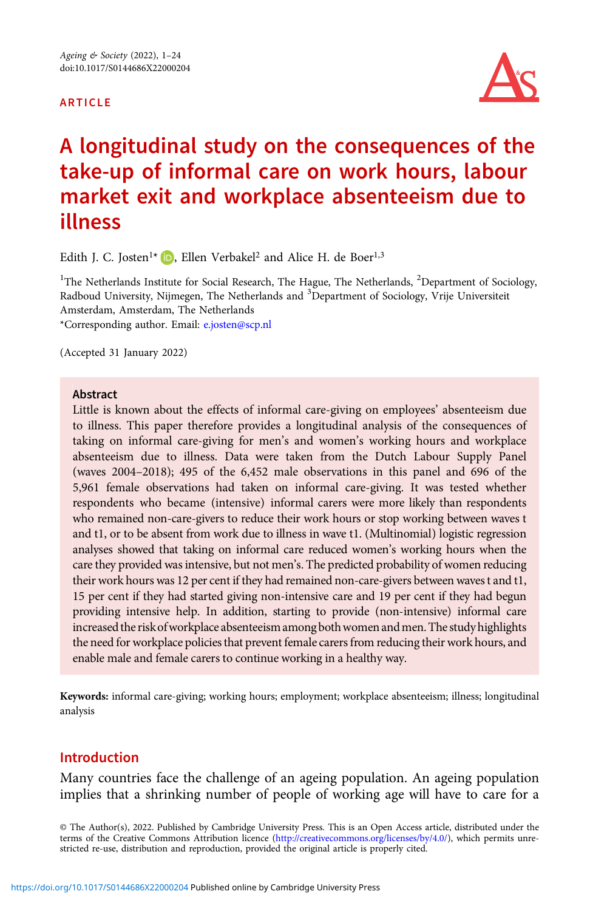#### ARTICLE



# A longitudinal study on the consequences of the take-up of informal care on work hours, labour market exit and workplace absenteeism due to illness

Edith J. C. Josten<sup>1\*</sup>  $\Box$ [,](https://orcid.org/0000-0001-5033-8024) Ellen Verbakel<sup>2</sup> and Alice H. de Boer<sup>1,3</sup>

<sup>1</sup>The Netherlands Institute for Social Research, The Hague, The Netherlands, <sup>2</sup>Department of Sociology, Radboud University, Nijmegen, The Netherlands and <sup>3</sup>Department of Sociology, Vrije Universiteit Amsterdam, Amsterdam, The Netherlands \*Corresponding author. Email: [e.josten@scp.nl](mailto:e.josten@scp.nl)

(Accepted 31 January 2022)

#### Abstract

Little is known about the effects of informal care-giving on employees' absenteeism due to illness. This paper therefore provides a longitudinal analysis of the consequences of taking on informal care-giving for men's and women's working hours and workplace absenteeism due to illness. Data were taken from the Dutch Labour Supply Panel (waves 2004–2018); 495 of the 6,452 male observations in this panel and 696 of the 5,961 female observations had taken on informal care-giving. It was tested whether respondents who became (intensive) informal carers were more likely than respondents who remained non-care-givers to reduce their work hours or stop working between waves t and t1, or to be absent from work due to illness in wave t1. (Multinomial) logistic regression analyses showed that taking on informal care reduced women's working hours when the care they provided was intensive, but not men's. The predicted probability of women reducing their work hours was 12 per cent if they had remained non-care-givers between waves t and t1, 15 per cent if they had started giving non-intensive care and 19 per cent if they had begun providing intensive help. In addition, starting to provide (non-intensive) informal care increased the risk of workplace absenteeism among both women and men. The study highlights the need for workplace policies that prevent female carers from reducing their work hours, and enable male and female carers to continue working in a healthy way.

Keywords: informal care-giving; working hours; employment; workplace absenteeism; illness; longitudinal analysis

## Introduction

Many countries face the challenge of an ageing population. An ageing population implies that a shrinking number of people of working age will have to care for a

© The Author(s), 2022. Published by Cambridge University Press. This is an Open Access article, distributed under the terms of the Creative Commons Attribution licence ([http://creativecommons.org/licenses/by/4.0/\)](http://creativecommons.org/licenses/by/4.0/), which permits unrestricted re-use, distribution and reproduction, provided the original article is properly cited.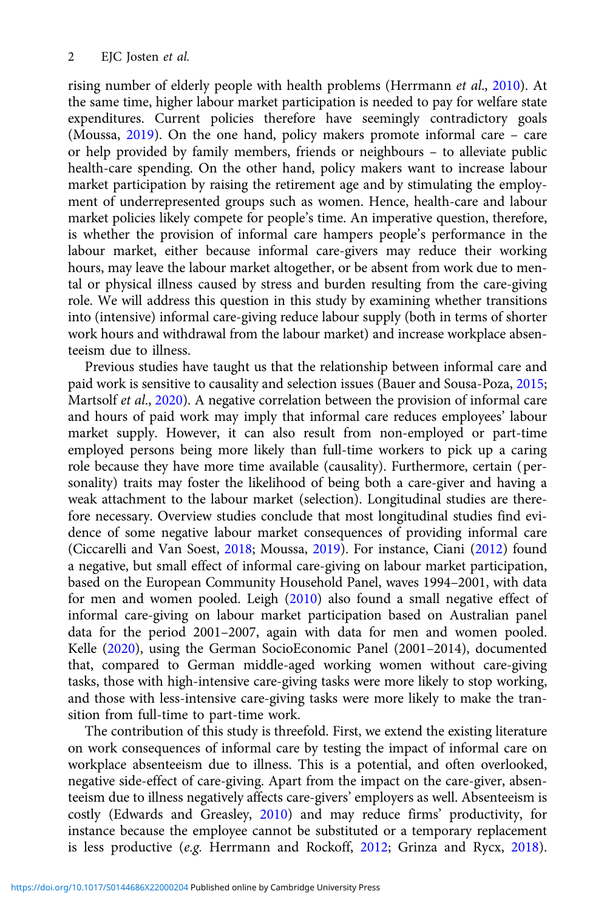rising number of elderly people with health problems (Herrmann et al., [2010](#page-22-0)). At the same time, higher labour market participation is needed to pay for welfare state expenditures. Current policies therefore have seemingly contradictory goals (Moussa, [2019](#page-22-0)). On the one hand, policy makers promote informal care – care or help provided by family members, friends or neighbours – to alleviate public health-care spending. On the other hand, policy makers want to increase labour market participation by raising the retirement age and by stimulating the employment of underrepresented groups such as women. Hence, health-care and labour market policies likely compete for people's time. An imperative question, therefore, is whether the provision of informal care hampers people's performance in the labour market, either because informal care-givers may reduce their working hours, may leave the labour market altogether, or be absent from work due to mental or physical illness caused by stress and burden resulting from the care-giving role. We will address this question in this study by examining whether transitions into (intensive) informal care-giving reduce labour supply (both in terms of shorter work hours and withdrawal from the labour market) and increase workplace absenteeism due to illness.

Previous studies have taught us that the relationship between informal care and paid work is sensitive to causality and selection issues (Bauer and Sousa-Poza, [2015](#page-21-0); Martsolf et al., [2020\)](#page-22-0). A negative correlation between the provision of informal care and hours of paid work may imply that informal care reduces employees' labour market supply. However, it can also result from non-employed or part-time employed persons being more likely than full-time workers to pick up a caring role because they have more time available (causality). Furthermore, certain (personality) traits may foster the likelihood of being both a care-giver and having a weak attachment to the labour market (selection). Longitudinal studies are therefore necessary. Overview studies conclude that most longitudinal studies find evidence of some negative labour market consequences of providing informal care (Ciccarelli and Van Soest, [2018;](#page-21-0) Moussa, [2019\)](#page-22-0). For instance, Ciani [\(2012\)](#page-21-0) found a negative, but small effect of informal care-giving on labour market participation, based on the European Community Household Panel, waves 1994–2001, with data for men and women pooled. Leigh ([2010](#page-22-0)) also found a small negative effect of informal care-giving on labour market participation based on Australian panel data for the period 2001–2007, again with data for men and women pooled. Kelle [\(2020\)](#page-22-0), using the German SocioEconomic Panel (2001–2014), documented that, compared to German middle-aged working women without care-giving tasks, those with high-intensive care-giving tasks were more likely to stop working, and those with less-intensive care-giving tasks were more likely to make the transition from full-time to part-time work.

The contribution of this study is threefold. First, we extend the existing literature on work consequences of informal care by testing the impact of informal care on workplace absenteeism due to illness. This is a potential, and often overlooked, negative side-effect of care-giving. Apart from the impact on the care-giver, absenteeism due to illness negatively affects care-givers' employers as well. Absenteeism is costly (Edwards and Greasley, [2010](#page-21-0)) and may reduce firms' productivity, for instance because the employee cannot be substituted or a temporary replacement is less productive (e.g. Herrmann and Rockoff, [2012](#page-22-0); Grinza and Rycx, [2018\)](#page-22-0).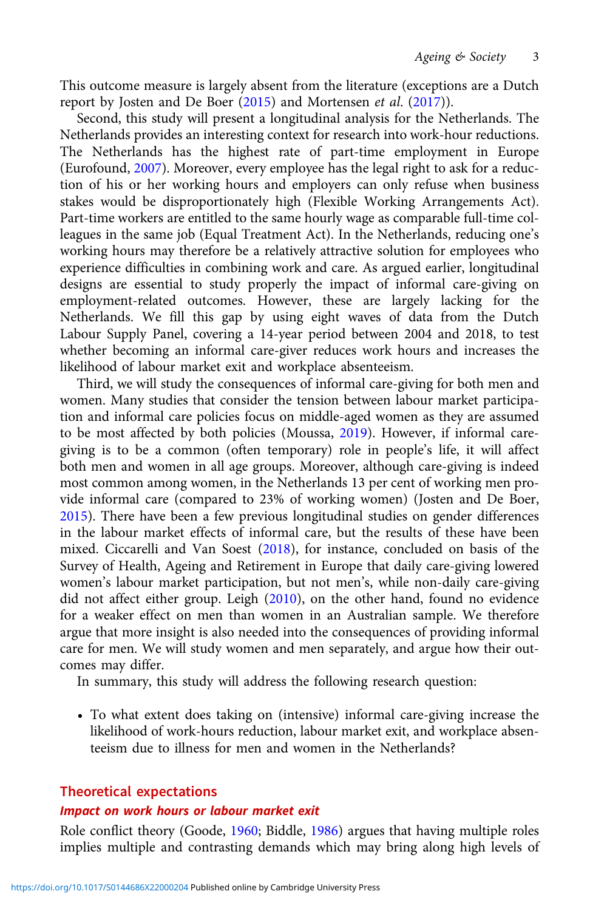This outcome measure is largely absent from the literature (exceptions are a Dutch report by Josten and De Boer ([2015](#page-22-0)) and Mortensen et al. [\(2017\)](#page-22-0)).

Second, this study will present a longitudinal analysis for the Netherlands. The Netherlands provides an interesting context for research into work-hour reductions. The Netherlands has the highest rate of part-time employment in Europe (Eurofound, [2007\)](#page-21-0). Moreover, every employee has the legal right to ask for a reduction of his or her working hours and employers can only refuse when business stakes would be disproportionately high (Flexible Working Arrangements Act). Part-time workers are entitled to the same hourly wage as comparable full-time colleagues in the same job (Equal Treatment Act). In the Netherlands, reducing one's working hours may therefore be a relatively attractive solution for employees who experience difficulties in combining work and care. As argued earlier, longitudinal designs are essential to study properly the impact of informal care-giving on employment-related outcomes. However, these are largely lacking for the Netherlands. We fill this gap by using eight waves of data from the Dutch Labour Supply Panel, covering a 14-year period between 2004 and 2018, to test whether becoming an informal care-giver reduces work hours and increases the likelihood of labour market exit and workplace absenteeism.

Third, we will study the consequences of informal care-giving for both men and women. Many studies that consider the tension between labour market participation and informal care policies focus on middle-aged women as they are assumed to be most affected by both policies (Moussa, [2019\)](#page-22-0). However, if informal caregiving is to be a common (often temporary) role in people's life, it will affect both men and women in all age groups. Moreover, although care-giving is indeed most common among women, in the Netherlands 13 per cent of working men provide informal care (compared to 23% of working women) (Josten and De Boer, [2015](#page-22-0)). There have been a few previous longitudinal studies on gender differences in the labour market effects of informal care, but the results of these have been mixed. Ciccarelli and Van Soest ([2018](#page-21-0)), for instance, concluded on basis of the Survey of Health, Ageing and Retirement in Europe that daily care-giving lowered women's labour market participation, but not men's, while non-daily care-giving did not affect either group. Leigh ([2010\)](#page-22-0), on the other hand, found no evidence for a weaker effect on men than women in an Australian sample. We therefore argue that more insight is also needed into the consequences of providing informal care for men. We will study women and men separately, and argue how their outcomes may differ.

In summary, this study will address the following research question:

• To what extent does taking on (intensive) informal care-giving increase the likelihood of work-hours reduction, labour market exit, and workplace absenteeism due to illness for men and women in the Netherlands?

# Theoretical expectations

#### Impact on work hours or labour market exit

Role conflict theory (Goode, [1960](#page-22-0); Biddle, [1986](#page-21-0)) argues that having multiple roles implies multiple and contrasting demands which may bring along high levels of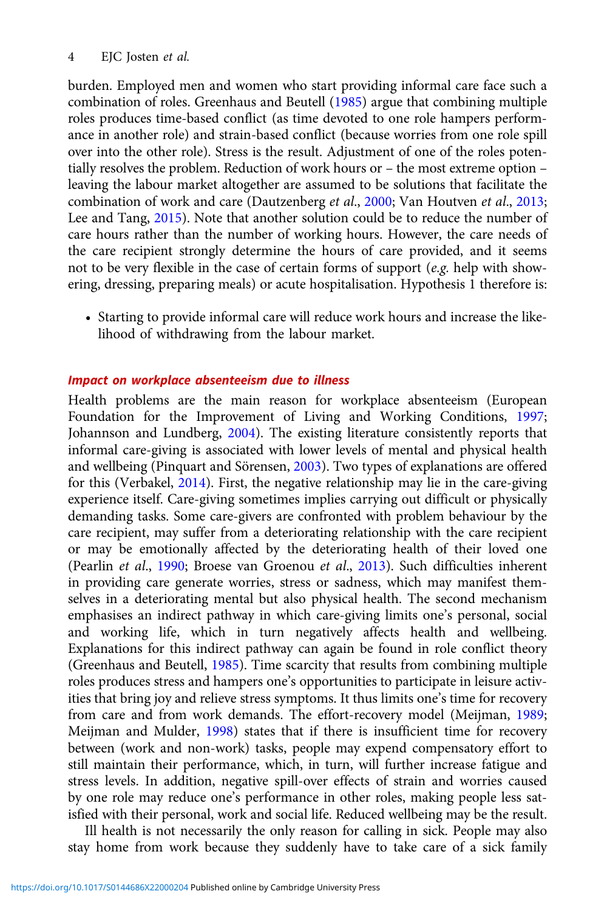burden. Employed men and women who start providing informal care face such a combination of roles. Greenhaus and Beutell [\(1985\)](#page-22-0) argue that combining multiple roles produces time-based conflict (as time devoted to one role hampers performance in another role) and strain-based conflict (because worries from one role spill over into the other role). Stress is the result. Adjustment of one of the roles potentially resolves the problem. Reduction of work hours or – the most extreme option – leaving the labour market altogether are assumed to be solutions that facilitate the combination of work and care (Dautzenberg et al., [2000](#page-21-0); Van Houtven et al., [2013](#page-23-0); Lee and Tang, [2015](#page-22-0)). Note that another solution could be to reduce the number of care hours rather than the number of working hours. However, the care needs of the care recipient strongly determine the hours of care provided, and it seems not to be very flexible in the case of certain forms of support (e.g. help with showering, dressing, preparing meals) or acute hospitalisation. Hypothesis 1 therefore is:

• Starting to provide informal care will reduce work hours and increase the likelihood of withdrawing from the labour market.

#### Impact on workplace absenteeism due to illness

Health problems are the main reason for workplace absenteeism (European Foundation for the Improvement of Living and Working Conditions, [1997](#page-22-0); Johannson and Lundberg, [2004](#page-22-0)). The existing literature consistently reports that informal care-giving is associated with lower levels of mental and physical health and wellbeing (Pinquart and Sörensen, [2003](#page-22-0)). Two types of explanations are offered for this (Verbakel, [2014](#page-23-0)). First, the negative relationship may lie in the care-giving experience itself. Care-giving sometimes implies carrying out difficult or physically demanding tasks. Some care-givers are confronted with problem behaviour by the care recipient, may suffer from a deteriorating relationship with the care recipient or may be emotionally affected by the deteriorating health of their loved one (Pearlin et al., [1990](#page-22-0); Broese van Groenou et al., [2013\)](#page-21-0). Such difficulties inherent in providing care generate worries, stress or sadness, which may manifest themselves in a deteriorating mental but also physical health. The second mechanism emphasises an indirect pathway in which care-giving limits one's personal, social and working life, which in turn negatively affects health and wellbeing. Explanations for this indirect pathway can again be found in role conflict theory (Greenhaus and Beutell, [1985\)](#page-22-0). Time scarcity that results from combining multiple roles produces stress and hampers one's opportunities to participate in leisure activities that bring joy and relieve stress symptoms. It thus limits one's time for recovery from care and from work demands. The effort-recovery model (Meijman, [1989](#page-22-0); Meijman and Mulder, [1998\)](#page-22-0) states that if there is insufficient time for recovery between (work and non-work) tasks, people may expend compensatory effort to still maintain their performance, which, in turn, will further increase fatigue and stress levels. In addition, negative spill-over effects of strain and worries caused by one role may reduce one's performance in other roles, making people less satisfied with their personal, work and social life. Reduced wellbeing may be the result.

Ill health is not necessarily the only reason for calling in sick. People may also stay home from work because they suddenly have to take care of a sick family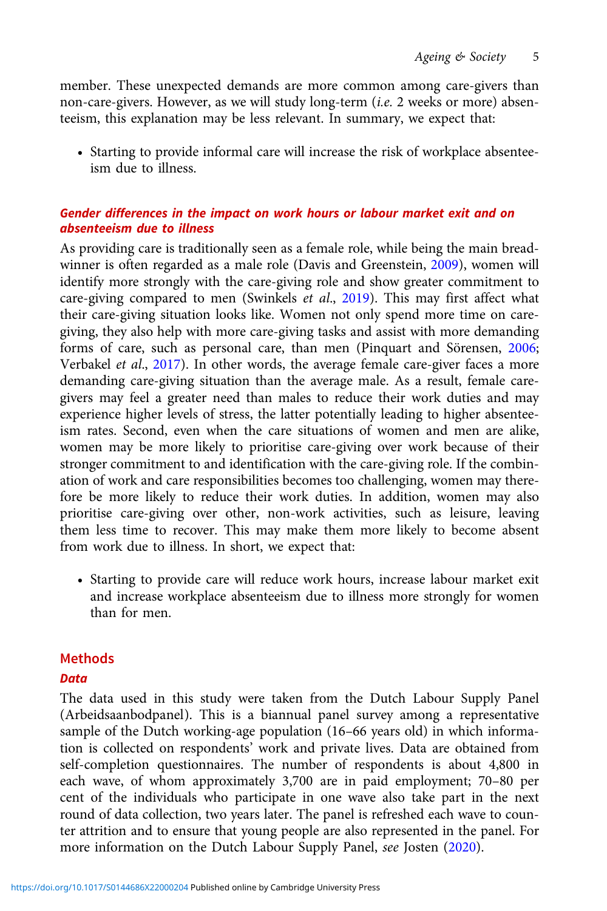member. These unexpected demands are more common among care-givers than non-care-givers. However, as we will study long-term (i.e. 2 weeks or more) absenteeism, this explanation may be less relevant. In summary, we expect that:

• Starting to provide informal care will increase the risk of workplace absenteeism due to illness.

# Gender differences in the impact on work hours or labour market exit and on absenteeism due to illness

As providing care is traditionally seen as a female role, while being the main breadwinner is often regarded as a male role (Davis and Greenstein, [2009](#page-21-0)), women will identify more strongly with the care-giving role and show greater commitment to care-giving compared to men (Swinkels et al., [2019](#page-23-0)). This may first affect what their care-giving situation looks like. Women not only spend more time on caregiving, they also help with more care-giving tasks and assist with more demanding forms of care, such as personal care, than men (Pinquart and Sörensen, [2006](#page-23-0); Verbakel et al., [2017](#page-23-0)). In other words, the average female care-giver faces a more demanding care-giving situation than the average male. As a result, female caregivers may feel a greater need than males to reduce their work duties and may experience higher levels of stress, the latter potentially leading to higher absenteeism rates. Second, even when the care situations of women and men are alike, women may be more likely to prioritise care-giving over work because of their stronger commitment to and identification with the care-giving role. If the combination of work and care responsibilities becomes too challenging, women may therefore be more likely to reduce their work duties. In addition, women may also prioritise care-giving over other, non-work activities, such as leisure, leaving them less time to recover. This may make them more likely to become absent from work due to illness. In short, we expect that:

• Starting to provide care will reduce work hours, increase labour market exit and increase workplace absenteeism due to illness more strongly for women than for men.

# Methods

# **Data**

The data used in this study were taken from the Dutch Labour Supply Panel (Arbeidsaanbodpanel). This is a biannual panel survey among a representative sample of the Dutch working-age population (16–66 years old) in which information is collected on respondents' work and private lives. Data are obtained from self-completion questionnaires. The number of respondents is about 4,800 in each wave, of whom approximately 3,700 are in paid employment; 70–80 per cent of the individuals who participate in one wave also take part in the next round of data collection, two years later. The panel is refreshed each wave to counter attrition and to ensure that young people are also represented in the panel. For more information on the Dutch Labour Supply Panel, see Josten [\(2020\)](#page-22-0).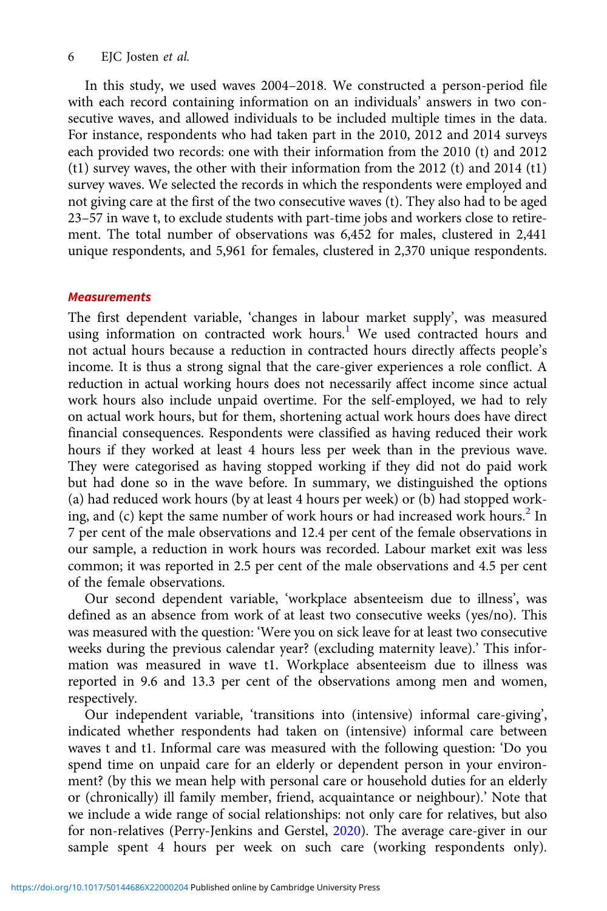## 6 EJC Josten et al.

In this study, we used waves 2004–2018. We constructed a person-period file with each record containing information on an individuals' answers in two consecutive waves, and allowed individuals to be included multiple times in the data. For instance, respondents who had taken part in the 2010, 2012 and 2014 surveys each provided two records: one with their information from the 2010 (t) and 2012 (t1) survey waves, the other with their information from the 2012 (t) and 2014 (t1) survey waves. We selected the records in which the respondents were employed and not giving care at the first of the two consecutive waves (t). They also had to be aged 23–57 in wave t, to exclude students with part-time jobs and workers close to retirement. The total number of observations was 6,452 for males, clustered in 2,441 unique respondents, and 5,961 for females, clustered in 2,370 unique respondents.

## **Measurements**

The first dependent variable, 'changes in labour market supply', was measured using information on contracted work hours.<sup>[1](#page-21-0)</sup> We used contracted hours and not actual hours because a reduction in contracted hours directly affects people's income. It is thus a strong signal that the care-giver experiences a role conflict. A reduction in actual working hours does not necessarily affect income since actual work hours also include unpaid overtime. For the self-employed, we had to rely on actual work hours, but for them, shortening actual work hours does have direct financial consequences. Respondents were classified as having reduced their work hours if they worked at least 4 hours less per week than in the previous wave. They were categorised as having stopped working if they did not do paid work but had done so in the wave before. In summary, we distinguished the options (a) had reduced work hours (by at least 4 hours per week) or (b) had stopped work-ing, and (c) kept the same number of work hours or had increased work hours.<sup>[2](#page-21-0)</sup> In 7 per cent of the male observations and 12.4 per cent of the female observations in our sample, a reduction in work hours was recorded. Labour market exit was less common; it was reported in 2.5 per cent of the male observations and 4.5 per cent of the female observations.

Our second dependent variable, 'workplace absenteeism due to illness', was defined as an absence from work of at least two consecutive weeks (yes/no). This was measured with the question: 'Were you on sick leave for at least two consecutive weeks during the previous calendar year? (excluding maternity leave).' This information was measured in wave t1. Workplace absenteeism due to illness was reported in 9.6 and 13.3 per cent of the observations among men and women, respectively.

Our independent variable, 'transitions into (intensive) informal care-giving', indicated whether respondents had taken on (intensive) informal care between waves t and t1. Informal care was measured with the following question: 'Do you spend time on unpaid care for an elderly or dependent person in your environment? (by this we mean help with personal care or household duties for an elderly or (chronically) ill family member, friend, acquaintance or neighbour).' Note that we include a wide range of social relationships: not only care for relatives, but also for non-relatives (Perry-Jenkins and Gerstel, [2020](#page-22-0)). The average care-giver in our sample spent 4 hours per week on such care (working respondents only).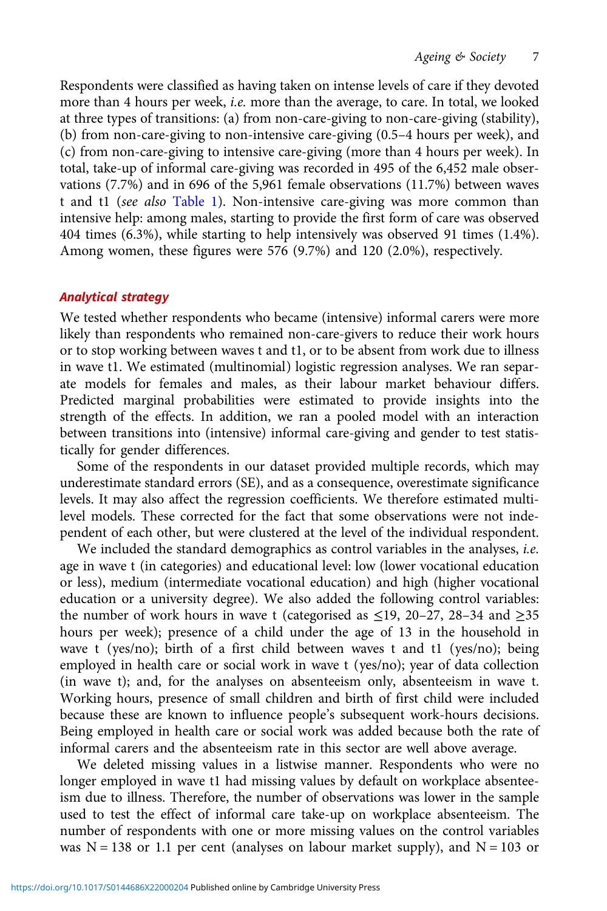Respondents were classified as having taken on intense levels of care if they devoted more than 4 hours per week, i.e. more than the average, to care. In total, we looked at three types of transitions: (a) from non-care-giving to non-care-giving (stability), (b) from non-care-giving to non-intensive care-giving (0.5–4 hours per week), and (c) from non-care-giving to intensive care-giving (more than 4 hours per week). In total, take-up of informal care-giving was recorded in 495 of the 6,452 male observations (7.7%) and in 696 of the 5,961 female observations (11.7%) between waves t and t1 (see also [Table 1\)](#page-7-0). Non-intensive care-giving was more common than intensive help: among males, starting to provide the first form of care was observed 404 times (6.3%), while starting to help intensively was observed 91 times (1.4%). Among women, these figures were 576 (9.7%) and 120 (2.0%), respectively.

## Analytical strategy

We tested whether respondents who became (intensive) informal carers were more likely than respondents who remained non-care-givers to reduce their work hours or to stop working between waves t and t1, or to be absent from work due to illness in wave t1. We estimated (multinomial) logistic regression analyses. We ran separate models for females and males, as their labour market behaviour differs. Predicted marginal probabilities were estimated to provide insights into the strength of the effects. In addition, we ran a pooled model with an interaction between transitions into (intensive) informal care-giving and gender to test statistically for gender differences.

Some of the respondents in our dataset provided multiple records, which may underestimate standard errors (SE), and as a consequence, overestimate significance levels. It may also affect the regression coefficients. We therefore estimated multilevel models. These corrected for the fact that some observations were not independent of each other, but were clustered at the level of the individual respondent.

We included the standard demographics as control variables in the analyses, *i.e.* age in wave t (in categories) and educational level: low (lower vocational education or less), medium (intermediate vocational education) and high (higher vocational education or a university degree). We also added the following control variables: the number of work hours in wave t (categorised as  $\leq$ 19, 20–27, 28–34 and  $\geq$ 35 hours per week); presence of a child under the age of 13 in the household in wave t (yes/no); birth of a first child between waves t and t1 (yes/no); being employed in health care or social work in wave t (yes/no); year of data collection (in wave t); and, for the analyses on absenteeism only, absenteeism in wave t. Working hours, presence of small children and birth of first child were included because these are known to influence people's subsequent work-hours decisions. Being employed in health care or social work was added because both the rate of informal carers and the absenteeism rate in this sector are well above average.

We deleted missing values in a listwise manner. Respondents who were no longer employed in wave t1 had missing values by default on workplace absenteeism due to illness. Therefore, the number of observations was lower in the sample used to test the effect of informal care take-up on workplace absenteeism. The number of respondents with one or more missing values on the control variables was  $N = 138$  or 1.1 per cent (analyses on labour market supply), and  $N = 103$  or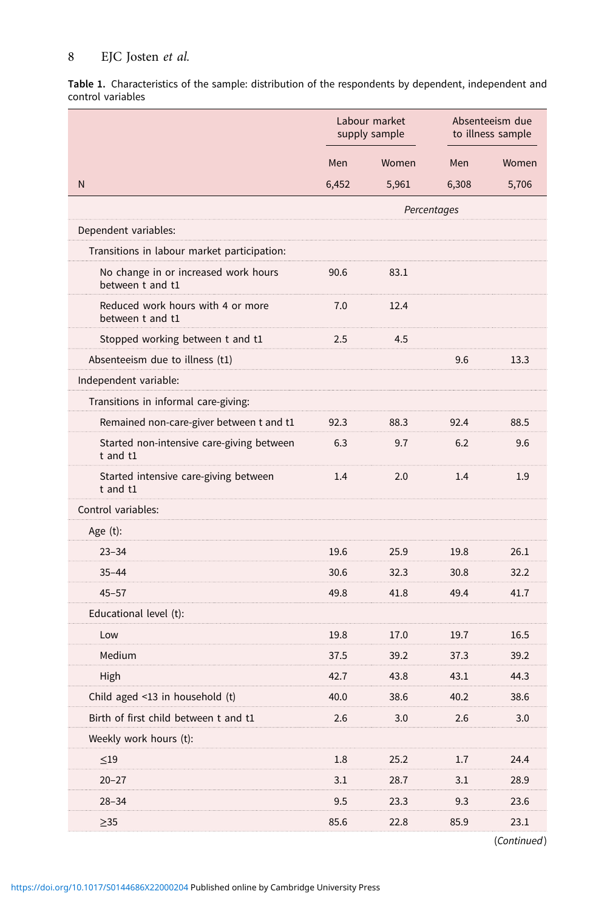# <span id="page-7-0"></span>8 EJC Josten et al.

Table 1. Characteristics of the sample: distribution of the respondents by dependent, independent and control variables

|                                                          | Labour market<br>supply sample |       | Absenteeism due<br>to illness sample |       |
|----------------------------------------------------------|--------------------------------|-------|--------------------------------------|-------|
|                                                          | Men                            | Women | Men                                  | Women |
| N                                                        | 6,452                          | 5,961 | 6,308                                | 5,706 |
|                                                          |                                |       | Percentages                          |       |
| Dependent variables:                                     |                                |       |                                      |       |
| Transitions in labour market participation:              |                                |       |                                      |       |
| No change in or increased work hours<br>between t and t1 | 90.6                           | 83.1  |                                      |       |
| Reduced work hours with 4 or more<br>between t and t1    | 7.0                            | 12.4  |                                      |       |
| Stopped working between t and t1                         | 2.5                            | 4.5   |                                      |       |
| Absenteeism due to illness (t1)                          |                                |       | 9.6                                  | 13.3  |
| Independent variable:                                    |                                |       |                                      |       |
| Transitions in informal care-giving:                     |                                |       |                                      |       |
| Remained non-care-giver between t and t1                 | 92.3                           | 88.3  | 92.4                                 | 88.5  |
| Started non-intensive care-giving between<br>t and t1    | 6.3                            | 9.7   | 6.2                                  | 9.6   |
| Started intensive care-giving between<br>t and t1        | 1.4                            | 2.0   | 1.4                                  | 1.9   |
| Control variables:                                       |                                |       |                                      |       |
| Age $(t)$ :                                              |                                |       |                                      |       |
| $23 - 34$                                                | 19.6                           | 25.9  | 19.8                                 | 26.1  |
| $35 - 44$                                                | 30.6                           | 32.3  | 30.8                                 | 32.2  |
| $45 - 57$                                                | 49.8                           | 41.8  | 49.4                                 | 41.7  |
| Educational level (t):                                   |                                |       |                                      |       |
| Low                                                      | 19.8                           | 17.0  | 19.7                                 | 16.5  |
| Medium                                                   | 37.5                           | 39.2  | 37.3                                 | 39.2  |
| High                                                     | 42.7                           | 43.8  | 43.1                                 | 44.3  |
| Child aged $\leq$ 13 in household (t)                    | 40.0                           | 38.6  | 40.2                                 | 38.6  |
| Birth of first child between t and t1                    | 2.6                            | 3.0   | 2.6                                  | 3.0   |
| Weekly work hours (t):                                   |                                |       |                                      |       |
| $\leq$ 19                                                | 1.8                            | 25.2  | 1.7                                  | 24.4  |
| $20 - 27$                                                | 3.1                            | 28.7  | 3.1                                  | 28.9  |
| $28 - 34$                                                | 9.5                            | 23.3  | 9.3                                  | 23.6  |
| $\geq$ 35                                                | 85.6                           | 22.8  | 85.9                                 | 23.1  |

(Continued)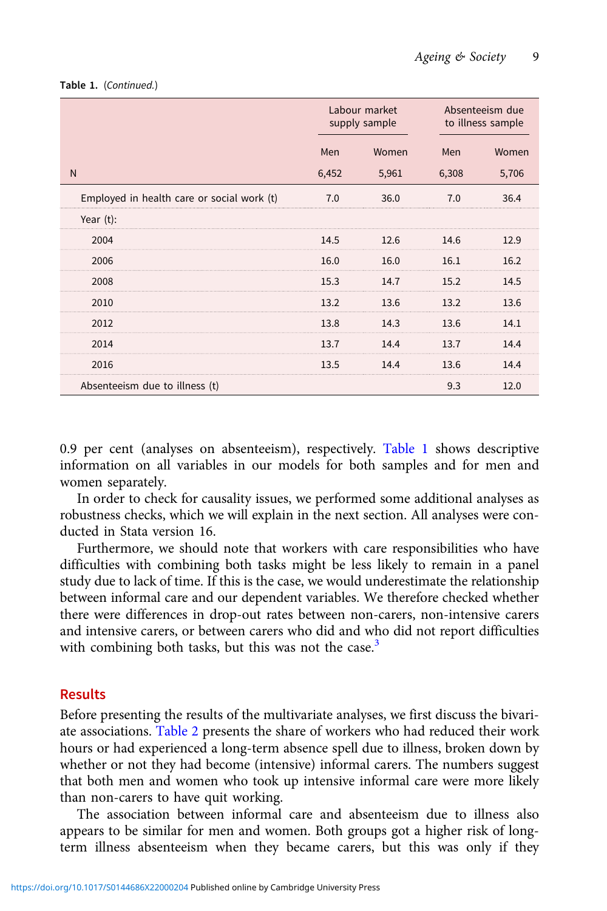|                                            | Labour market<br>supply sample |       |       | Absenteeism due<br>to illness sample |
|--------------------------------------------|--------------------------------|-------|-------|--------------------------------------|
|                                            | Men                            | Women | Men   | Women                                |
| N                                          | 6,452                          | 5,961 | 6,308 | 5,706                                |
| Employed in health care or social work (t) | 7.0                            | 36.0  | 7.0   | 36.4                                 |
| Year $(t)$ :                               |                                |       |       |                                      |
| 2004                                       | 14.5                           | 12.6  | 14.6  | 12.9                                 |
| 2006                                       | 16.0                           | 16.0  | 16.1  | 16.2                                 |
| 2008                                       | 15.3                           | 14.7  | 15.2  | 14.5                                 |
| 2010                                       | 13.2                           | 13.6  | 13.2  | 13.6                                 |
| 2012                                       | 13.8                           | 14.3  | 13.6  | 14.1                                 |
| 2014                                       | 13.7                           | 14.4  | 13.7  | 14.4                                 |
| 2016                                       | 13.5                           | 14.4  | 13.6  | 14.4                                 |
| Absenteeism due to illness (t)             |                                |       | 9.3   | 12.0                                 |

#### Table 1. (Continued.)

0.9 per cent (analyses on absenteeism), respectively. [Table 1](#page-7-0) shows descriptive information on all variables in our models for both samples and for men and women separately.

In order to check for causality issues, we performed some additional analyses as robustness checks, which we will explain in the next section. All analyses were conducted in Stata version 16.

Furthermore, we should note that workers with care responsibilities who have difficulties with combining both tasks might be less likely to remain in a panel study due to lack of time. If this is the case, we would underestimate the relationship between informal care and our dependent variables. We therefore checked whether there were differences in drop-out rates between non-carers, non-intensive carers and intensive carers, or between carers who did and who did not report difficulties with combining both tasks, but this was not the case. $3$ 

## Results

Before presenting the results of the multivariate analyses, we first discuss the bivariate associations. [Table 2](#page-9-0) presents the share of workers who had reduced their work hours or had experienced a long-term absence spell due to illness, broken down by whether or not they had become (intensive) informal carers. The numbers suggest that both men and women who took up intensive informal care were more likely than non-carers to have quit working.

The association between informal care and absenteeism due to illness also appears to be similar for men and women. Both groups got a higher risk of longterm illness absenteeism when they became carers, but this was only if they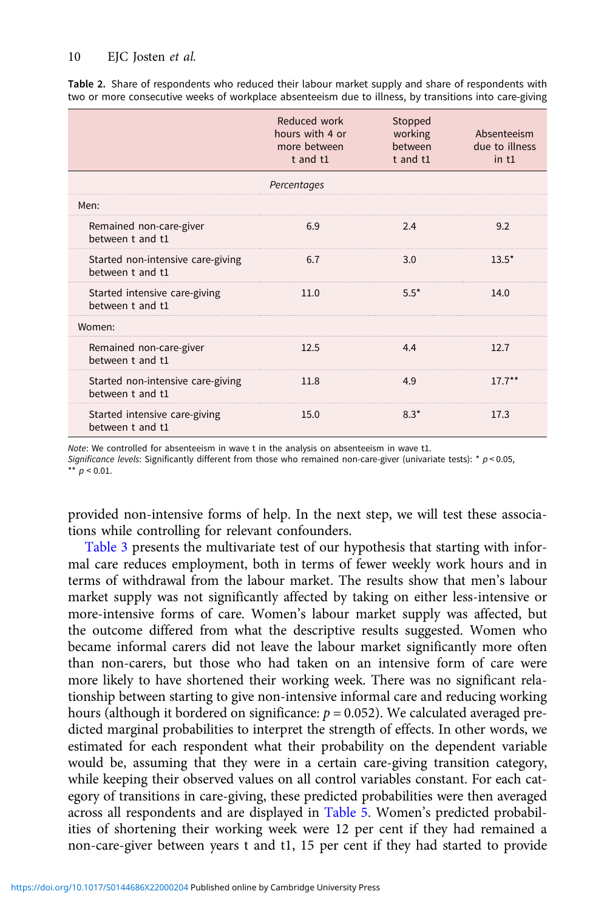|                                                       | Reduced work<br>hours with 4 or<br>more between<br>$t$ and $t1$ | Stopped<br>working<br>between<br>t and t1 | Absenteeism<br>due to illness<br>$in$ t1 |
|-------------------------------------------------------|-----------------------------------------------------------------|-------------------------------------------|------------------------------------------|
|                                                       | Percentages                                                     |                                           |                                          |
| Men:                                                  |                                                                 |                                           |                                          |
| Remained non-care-giver<br>between t and t1           | 6.9                                                             | 2.4                                       | 9.2                                      |
| Started non-intensive care-giving<br>between t and t1 | 6.7                                                             | 3.0                                       | $13.5*$                                  |
| Started intensive care-giving<br>between t and t1     | 11.0                                                            | $5.5*$                                    | 14.0                                     |
| Women:                                                |                                                                 |                                           |                                          |
| Remained non-care-giver<br>between t and t1           | 12.5                                                            | 4.4                                       | 12.7                                     |
| Started non-intensive care-giving<br>hetween t and t1 | 11.8                                                            | 4.9                                       | $17.7***$                                |
| Started intensive care-giving<br>between t and t1     | 15.0                                                            | $8.3*$                                    | 17.3                                     |

<span id="page-9-0"></span>Table 2. Share of respondents who reduced their labour market supply and share of respondents with two or more consecutive weeks of workplace absenteeism due to illness, by transitions into care-giving

Note: We controlled for absenteeism in wave t in the analysis on absenteeism in wave t1.

Significance levels: Significantly different from those who remained non-care-giver (univariate tests): \*  $p < 0.05$ , \*\*  $p < 0.01$ .

provided non-intensive forms of help. In the next step, we will test these associations while controlling for relevant confounders.

[Table 3](#page-10-0) presents the multivariate test of our hypothesis that starting with informal care reduces employment, both in terms of fewer weekly work hours and in terms of withdrawal from the labour market. The results show that men's labour market supply was not significantly affected by taking on either less-intensive or more-intensive forms of care. Women's labour market supply was affected, but the outcome differed from what the descriptive results suggested. Women who became informal carers did not leave the labour market significantly more often than non-carers, but those who had taken on an intensive form of care were more likely to have shortened their working week. There was no significant relationship between starting to give non-intensive informal care and reducing working hours (although it bordered on significance:  $p = 0.052$ ). We calculated averaged predicted marginal probabilities to interpret the strength of effects. In other words, we estimated for each respondent what their probability on the dependent variable would be, assuming that they were in a certain care-giving transition category, while keeping their observed values on all control variables constant. For each category of transitions in care-giving, these predicted probabilities were then averaged across all respondents and are displayed in [Table 5](#page-15-0). Women's predicted probabilities of shortening their working week were 12 per cent if they had remained a non-care-giver between years t and t1, 15 per cent if they had started to provide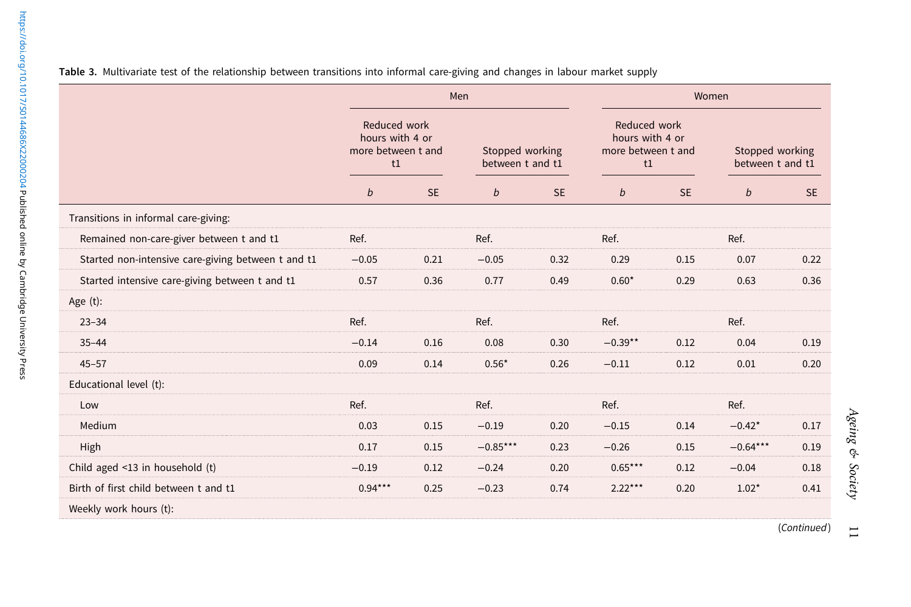|                                                    | Men                                                         |           |                                     | Women     |                                                             |           |                                     |           |
|----------------------------------------------------|-------------------------------------------------------------|-----------|-------------------------------------|-----------|-------------------------------------------------------------|-----------|-------------------------------------|-----------|
|                                                    | Reduced work<br>hours with 4 or<br>more between t and<br>t1 |           | Stopped working<br>between t and t1 |           | Reduced work<br>hours with 4 or<br>more between t and<br>t1 |           | Stopped working<br>between t and t1 |           |
|                                                    | b                                                           | <b>SE</b> | $\boldsymbol{b}$                    | <b>SE</b> | b                                                           | <b>SE</b> | b                                   | <b>SE</b> |
| Transitions in informal care-giving:               |                                                             |           |                                     |           |                                                             |           |                                     |           |
| Remained non-care-giver between t and t1           | Ref.                                                        |           | Ref.                                |           | Ref.                                                        |           | Ref.                                |           |
| Started non-intensive care-giving between t and t1 | $-0.05$                                                     | 0.21      | $-0.05$                             | 0.32      | 0.29                                                        | 0.15      | 0.07                                | 0.22      |
| Started intensive care-giving between t and t1     | 0.57                                                        | 0.36      | 0.77                                | 0.49      | $0.60*$                                                     | 0.29      | 0.63                                | 0.36      |
| Age $(t)$ :                                        |                                                             |           |                                     |           |                                                             |           |                                     |           |
| $23 - 34$                                          | Ref.                                                        |           | Ref.                                |           | Ref.                                                        |           | Ref.                                |           |
| $35 - 44$                                          | $-0.14$                                                     | 0.16      | 0.08                                | 0.30      | $-0.39**$                                                   | 0.12      | 0.04                                | 0.19      |
| $45 - 57$                                          | 0.09                                                        | 0.14      | $0.56*$                             | 0.26      | $-0.11$                                                     | 0.12      | 0.01                                | 0.20      |
| Educational level (t):                             |                                                             |           |                                     |           |                                                             |           |                                     |           |
| Low                                                | Ref.                                                        |           | Ref.                                |           | Ref.                                                        |           | Ref.                                |           |
| Medium                                             | 0.03                                                        | 0.15      | $-0.19$                             | 0.20      | $-0.15$                                                     | 0.14      | $-0.42*$                            | 0.17      |
| High                                               | 0.17                                                        | 0.15      | $-0.85***$                          | 0.23      | $-0.26$                                                     | 0.15      | $-0.64***$                          | 0.19      |
| Child aged <13 in household (t)                    | $-0.19$                                                     | 0.12      | $-0.24$                             | 0.20      | $0.65***$                                                   | 0.12      | $-0.04$                             | 0.18      |
| Birth of first child between t and t1              | $0.94***$                                                   | 0.25      | $-0.23$                             | 0.74      | $2.22***$                                                   | 0.20      | $1.02*$                             | 0.41      |
| Weekly work hours (t):                             |                                                             |           |                                     |           |                                                             |           |                                     |           |

<span id="page-10-0"></span>

11

(Continued)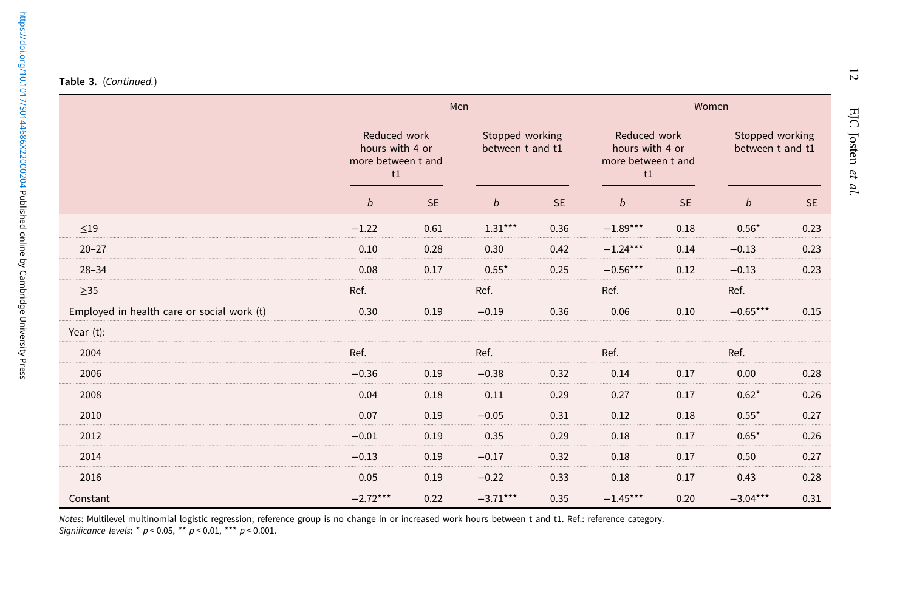|                                            | Men                                                         |           |                                     | Women     |                                                             |           |                                     |           |
|--------------------------------------------|-------------------------------------------------------------|-----------|-------------------------------------|-----------|-------------------------------------------------------------|-----------|-------------------------------------|-----------|
|                                            | Reduced work<br>hours with 4 or<br>more between t and<br>t1 |           | Stopped working<br>between t and t1 |           | Reduced work<br>hours with 4 or<br>more between t and<br>t1 |           | Stopped working<br>between t and t1 |           |
|                                            | $\mathfrak b$                                               | <b>SE</b> | $\boldsymbol{b}$                    | <b>SE</b> | $\boldsymbol{b}$                                            | <b>SE</b> | $\boldsymbol{b}$                    | <b>SE</b> |
| $\leq$ 19                                  | $-1.22$                                                     | 0.61      | $1.31***$                           | 0.36      | $-1.89***$                                                  | 0.18      | $0.56*$                             | 0.23      |
| $20 - 27$                                  | 0.10                                                        | 0.28      | 0.30                                | 0.42      | $-1.24***$                                                  | 0.14      | $-0.13$                             | 0.23      |
| $28 - 34$                                  | 0.08                                                        | 0.17      | $0.55*$                             | 0.25      | $-0.56***$                                                  | 0.12      | $-0.13$                             | 0.23      |
| $\geq$ 35                                  | Ref.                                                        |           | Ref.                                |           | Ref.                                                        |           | Ref.                                |           |
| Employed in health care or social work (t) | 0.30                                                        | 0.19      | $-0.19$                             | 0.36      | 0.06                                                        | 0.10      | $-0.65***$                          | 0.15      |
| Year (t):                                  |                                                             |           |                                     |           |                                                             |           |                                     |           |
| 2004                                       | Ref.                                                        |           | Ref.                                |           | Ref.                                                        |           | Ref.                                |           |
| 2006                                       | $-0.36$                                                     | 0.19      | $-0.38$                             | 0.32      | 0.14                                                        | 0.17      | 0.00                                | 0.28      |
| 2008                                       | 0.04                                                        | 0.18      | 0.11                                | 0.29      | 0.27                                                        | 0.17      | $0.62*$                             | 0.26      |
| 2010                                       | 0.07                                                        | 0.19      | $-0.05$                             | 0.31      | 0.12                                                        | 0.18      | $0.55*$                             | 0.27      |
| 2012                                       | $-0.01$                                                     | 0.19      | 0.35                                | 0.29      | 0.18                                                        | 0.17      | $0.65*$                             | 0.26      |
| 2014                                       | $-0.13$                                                     | 0.19      | $-0.17$                             | 0.32      | 0.18                                                        | 0.17      | 0.50                                | 0.27      |
| 2016                                       | 0.05                                                        | 0.19      | $-0.22$                             | 0.33      | 0.18                                                        | 0.17      | 0.43                                | 0.28      |
| Constant                                   | $-2.72***$                                                  | 0.22      | $-3.71***$                          | 0.35      | $-1.45***$                                                  | 0.20      | $-3.04***$                          | 0.31      |

 $\overline{5}$ 

Notes: Multilevel multinomial logistic regression; reference group is no change in or increased work hours between t and t1. Ref.: reference category<br>*Significance levels*: \* p < 0.05, \*\* p < 0.01, \*\*\* p < 0.001.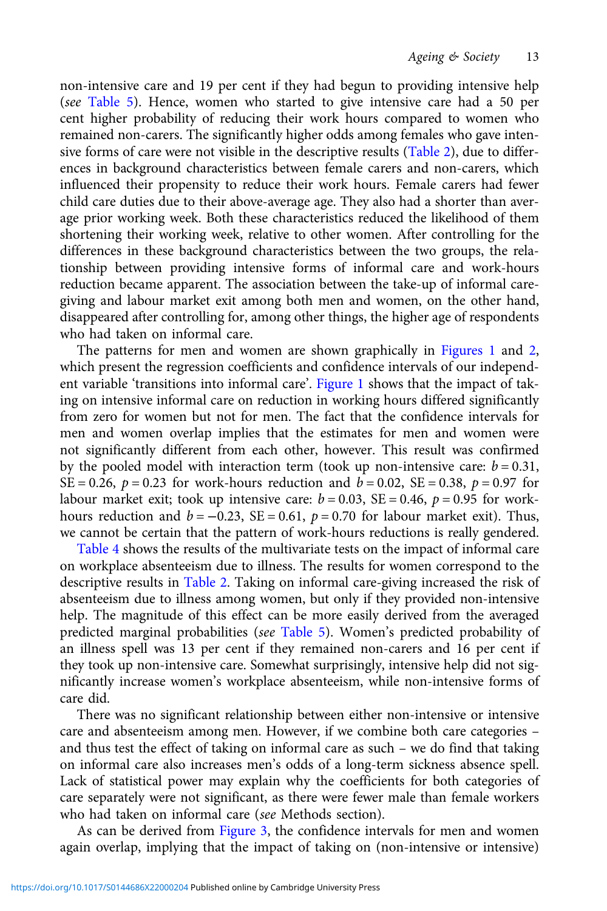non-intensive care and 19 per cent if they had begun to providing intensive help (see [Table 5\)](#page-15-0). Hence, women who started to give intensive care had a 50 per cent higher probability of reducing their work hours compared to women who remained non-carers. The significantly higher odds among females who gave inten-sive forms of care were not visible in the descriptive results ([Table 2\)](#page-9-0), due to differences in background characteristics between female carers and non-carers, which influenced their propensity to reduce their work hours. Female carers had fewer child care duties due to their above-average age. They also had a shorter than average prior working week. Both these characteristics reduced the likelihood of them shortening their working week, relative to other women. After controlling for the differences in these background characteristics between the two groups, the relationship between providing intensive forms of informal care and work-hours reduction became apparent. The association between the take-up of informal caregiving and labour market exit among both men and women, on the other hand, disappeared after controlling for, among other things, the higher age of respondents who had taken on informal care.

The patterns for men and women are shown graphically in [Figures 1](#page-13-0) and [2](#page-13-0), which present the regression coefficients and confidence intervals of our independent variable 'transitions into informal care'. [Figure 1](#page-13-0) shows that the impact of taking on intensive informal care on reduction in working hours differed significantly from zero for women but not for men. The fact that the confidence intervals for men and women overlap implies that the estimates for men and women were not significantly different from each other, however. This result was confirmed by the pooled model with interaction term (took up non-intensive care:  $b = 0.31$ , SE = 0.26,  $p = 0.23$  for work-hours reduction and  $b = 0.02$ , SE = 0.38,  $p = 0.97$  for labour market exit; took up intensive care:  $b = 0.03$ , SE = 0.46,  $p = 0.95$  for workhours reduction and  $b = -0.23$ , SE = 0.61,  $p = 0.70$  for labour market exit). Thus, we cannot be certain that the pattern of work-hours reductions is really gendered.

[Table 4](#page-14-0) shows the results of the multivariate tests on the impact of informal care on workplace absenteeism due to illness. The results for women correspond to the descriptive results in [Table 2](#page-9-0). Taking on informal care-giving increased the risk of absenteeism due to illness among women, but only if they provided non-intensive help. The magnitude of this effect can be more easily derived from the averaged predicted marginal probabilities (see [Table 5\)](#page-15-0). Women's predicted probability of an illness spell was 13 per cent if they remained non-carers and 16 per cent if they took up non-intensive care. Somewhat surprisingly, intensive help did not significantly increase women's workplace absenteeism, while non-intensive forms of care did.

There was no significant relationship between either non-intensive or intensive care and absenteeism among men. However, if we combine both care categories – and thus test the effect of taking on informal care as such – we do find that taking on informal care also increases men's odds of a long-term sickness absence spell. Lack of statistical power may explain why the coefficients for both categories of care separately were not significant, as there were fewer male than female workers who had taken on informal care (see Methods section).

As can be derived from [Figure 3,](#page-15-0) the confidence intervals for men and women again overlap, implying that the impact of taking on (non-intensive or intensive)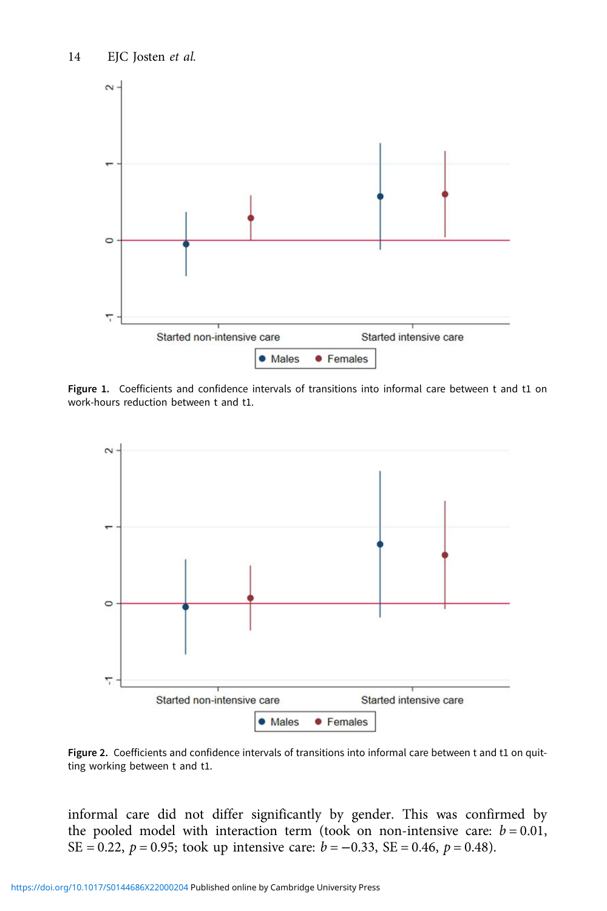<span id="page-13-0"></span>

Figure 1. Coefficients and confidence intervals of transitions into informal care between t and t1 on work-hours reduction between t and t1.



Figure 2. Coefficients and confidence intervals of transitions into informal care between t and t1 on quitting working between t and t1.

informal care did not differ significantly by gender. This was confirmed by the pooled model with interaction term (took on non-intensive care:  $b = 0.01$ , SE = 0.22,  $p = 0.95$ ; took up intensive care:  $b = -0.33$ , SE = 0.46,  $p = 0.48$ ).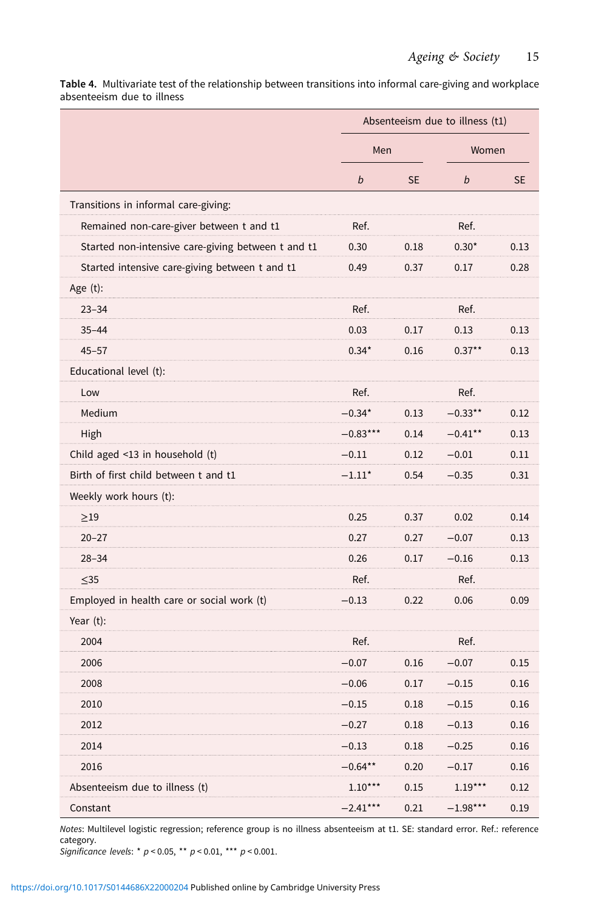<span id="page-14-0"></span>Table 4. Multivariate test of the relationship between transitions into informal care-giving and workplace absenteeism due to illness

|                                                    | Absenteeism due to illness (t1) |           |            |           |
|----------------------------------------------------|---------------------------------|-----------|------------|-----------|
|                                                    | Men                             |           | Women      |           |
|                                                    | b                               | <b>SE</b> | b          | <b>SE</b> |
| Transitions in informal care-giving:               |                                 |           |            |           |
| Remained non-care-giver between t and t1           | Ref.                            |           | Ref.       |           |
| Started non-intensive care-giving between t and t1 | 0.30                            | 0.18      | $0.30*$    | 0.13      |
| Started intensive care-giving between t and t1     | 0.49                            | 0.37      | 0.17       | 0.28      |
| Age $(t)$ :                                        |                                 |           |            |           |
| $23 - 34$                                          | Ref.                            |           | Ref.       |           |
| $35 - 44$                                          | 0.03                            | 0.17      | 0.13       | 0.13      |
| $45 - 57$                                          | $0.34*$                         | 0.16      | $0.37***$  | 0.13      |
| Educational level (t):                             |                                 |           |            |           |
| Low                                                | Ref.                            |           | Ref.       |           |
| Medium                                             | $-0.34*$                        | 0.13      | $-0.33***$ | 0.12      |
| High                                               | $-0.83***$                      | 0.14      | $-0.41***$ | 0.13      |
| Child aged $\leq$ 13 in household (t)              | $-0.11$                         | 0.12      | $-0.01$    | 0.11      |
| Birth of first child between t and t1              | $-1.11*$                        | 0.54      | $-0.35$    | 0.31      |
| Weekly work hours (t):                             |                                 |           |            |           |
| $\geq$ 19                                          | 0.25                            | 0.37      | 0.02       | 0.14      |
| $20 - 27$                                          | 0.27                            | 0.27      | $-0.07$    | 0.13      |
| $28 - 34$                                          | 0.26                            | 0.17      | $-0.16$    | 0.13      |
| $\leq$ 35                                          | Ref.                            |           | Ref.       |           |
| Employed in health care or social work (t)         | $-0.13$                         | 0.22      | 0.06       | 0.09      |
| Year $(t)$ :                                       |                                 |           |            |           |
| 2004                                               | Ref.                            |           | Ref.       |           |
| 2006                                               | $-0.07$                         | 0.16      | $-0.07$    | 0.15      |
| 2008                                               | $-0.06$                         | 0.17      | $-0.15$    | 0.16      |
| 2010                                               | $-0.15$                         | 0.18      | $-0.15$    | 0.16      |
| 2012                                               | $-0.27$                         | 0.18      | $-0.13$    | 0.16      |
| 2014                                               | $-0.13$                         | 0.18      | $-0.25$    | 0.16      |
| 2016                                               | $-0.64**$                       | 0.20      | $-0.17$    | 0.16      |
| Absenteeism due to illness (t)                     | $1.10***$                       | 0.15      | $1.19***$  | 0.12      |
| Constant                                           | $-2.41***$                      | 0.21      | $-1.98***$ | 0.19      |

Notes: Multilevel logistic regression; reference group is no illness absenteeism at t1. SE: standard error. Ref.: reference category.

Significance levels: \*  $p < 0.05$ , \*\*  $p < 0.01$ , \*\*\*  $p < 0.001$ .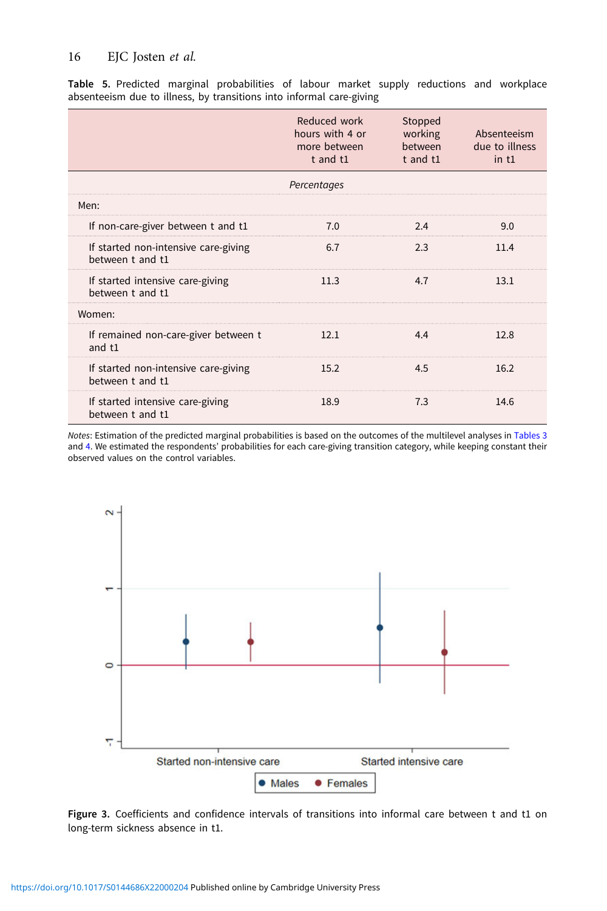## <span id="page-15-0"></span>16 EJC Josten et al.

Table 5. Predicted marginal probabilities of labour market supply reductions and workplace absenteeism due to illness, by transitions into informal care-giving

|                                                          | Reduced work<br>hours with 4 or<br>more between<br>$t$ and $t1$ | Stopped<br>working<br>between<br>$t$ and $t1$ | Absenteeism<br>due to illness<br>$in$ t1 |
|----------------------------------------------------------|-----------------------------------------------------------------|-----------------------------------------------|------------------------------------------|
|                                                          | Percentages                                                     |                                               |                                          |
| Men:                                                     |                                                                 |                                               |                                          |
| If non-care-giver between t and t1                       | 7.0                                                             | 2.4                                           | 9.0                                      |
| If started non-intensive care-giving<br>between t and t1 | 6.7                                                             | 2.3                                           | 11.4                                     |
| If started intensive care-giving<br>between t and t1     | 11.3                                                            | 4.7                                           | 13.1                                     |
| Women:                                                   |                                                                 |                                               |                                          |
| If remained non-care-giver between t<br>and $t1$         | 12.1                                                            | 4.4                                           | 12.8                                     |
| If started non-intensive care-giving<br>between t and t1 | 15.2                                                            | 4.5                                           | 16.2                                     |
| If started intensive care-giving<br>between t and t1     | 18.9                                                            | 7.3                                           | 14.6                                     |

Notes: Estimation of the predicted marginal probabilities is based on the outcomes of the multilevel analyses in [Tables 3](#page-10-0) and [4](#page-14-0). We estimated the respondents' probabilities for each care-giving transition category, while keeping constant their observed values on the control variables.



Figure 3. Coefficients and confidence intervals of transitions into informal care between t and t1 on long-term sickness absence in t1.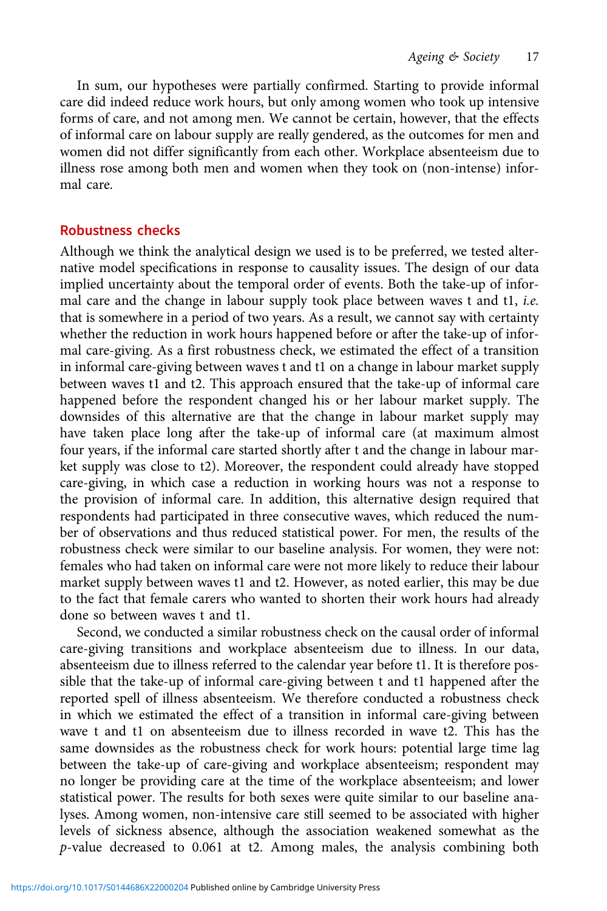In sum, our hypotheses were partially confirmed. Starting to provide informal care did indeed reduce work hours, but only among women who took up intensive forms of care, and not among men. We cannot be certain, however, that the effects of informal care on labour supply are really gendered, as the outcomes for men and women did not differ significantly from each other. Workplace absenteeism due to illness rose among both men and women when they took on (non-intense) informal care.

# Robustness checks

Although we think the analytical design we used is to be preferred, we tested alternative model specifications in response to causality issues. The design of our data implied uncertainty about the temporal order of events. Both the take-up of informal care and the change in labour supply took place between waves t and t1, i.e. that is somewhere in a period of two years. As a result, we cannot say with certainty whether the reduction in work hours happened before or after the take-up of informal care-giving. As a first robustness check, we estimated the effect of a transition in informal care-giving between waves t and t1 on a change in labour market supply between waves t1 and t2. This approach ensured that the take-up of informal care happened before the respondent changed his or her labour market supply. The downsides of this alternative are that the change in labour market supply may have taken place long after the take-up of informal care (at maximum almost four years, if the informal care started shortly after t and the change in labour market supply was close to t2). Moreover, the respondent could already have stopped care-giving, in which case a reduction in working hours was not a response to the provision of informal care. In addition, this alternative design required that respondents had participated in three consecutive waves, which reduced the number of observations and thus reduced statistical power. For men, the results of the robustness check were similar to our baseline analysis. For women, they were not: females who had taken on informal care were not more likely to reduce their labour market supply between waves t1 and t2. However, as noted earlier, this may be due to the fact that female carers who wanted to shorten their work hours had already done so between waves t and t1.

Second, we conducted a similar robustness check on the causal order of informal care-giving transitions and workplace absenteeism due to illness. In our data, absenteeism due to illness referred to the calendar year before t1. It is therefore possible that the take-up of informal care-giving between t and t1 happened after the reported spell of illness absenteeism. We therefore conducted a robustness check in which we estimated the effect of a transition in informal care-giving between wave t and t1 on absenteeism due to illness recorded in wave t2. This has the same downsides as the robustness check for work hours: potential large time lag between the take-up of care-giving and workplace absenteeism; respondent may no longer be providing care at the time of the workplace absenteeism; and lower statistical power. The results for both sexes were quite similar to our baseline analyses. Among women, non-intensive care still seemed to be associated with higher levels of sickness absence, although the association weakened somewhat as the p-value decreased to 0.061 at t2. Among males, the analysis combining both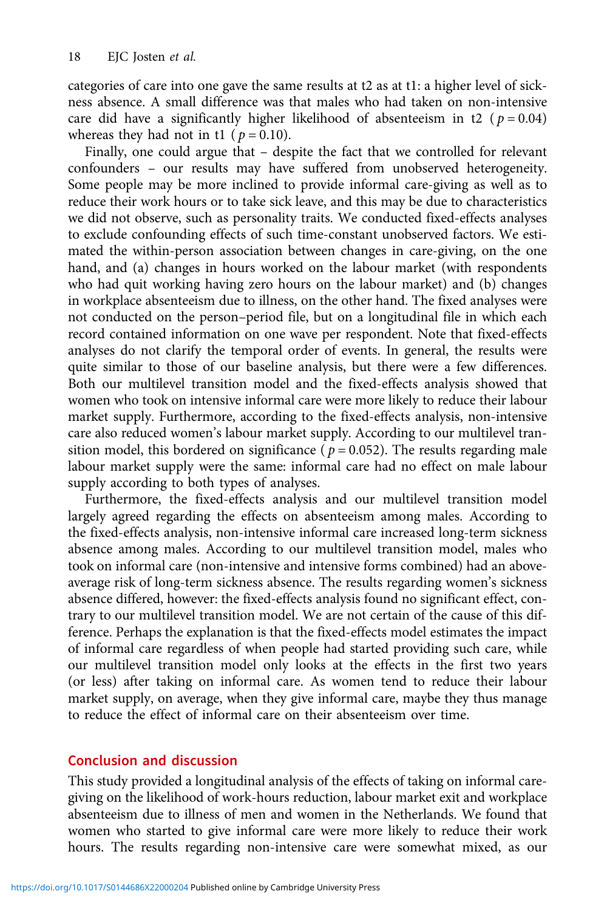categories of care into one gave the same results at t2 as at t1: a higher level of sickness absence. A small difference was that males who had taken on non-intensive care did have a significantly higher likelihood of absenteeism in t2 ( $p = 0.04$ ) whereas they had not in t1 ( $p = 0.10$ ).

Finally, one could argue that – despite the fact that we controlled for relevant confounders – our results may have suffered from unobserved heterogeneity. Some people may be more inclined to provide informal care-giving as well as to reduce their work hours or to take sick leave, and this may be due to characteristics we did not observe, such as personality traits. We conducted fixed-effects analyses to exclude confounding effects of such time-constant unobserved factors. We estimated the within-person association between changes in care-giving, on the one hand, and (a) changes in hours worked on the labour market (with respondents who had quit working having zero hours on the labour market) and (b) changes in workplace absenteeism due to illness, on the other hand. The fixed analyses were not conducted on the person–period file, but on a longitudinal file in which each record contained information on one wave per respondent. Note that fixed-effects analyses do not clarify the temporal order of events. In general, the results were quite similar to those of our baseline analysis, but there were a few differences. Both our multilevel transition model and the fixed-effects analysis showed that women who took on intensive informal care were more likely to reduce their labour market supply. Furthermore, according to the fixed-effects analysis, non-intensive care also reduced women's labour market supply. According to our multilevel transition model, this bordered on significance ( $p = 0.052$ ). The results regarding male labour market supply were the same: informal care had no effect on male labour supply according to both types of analyses.

Furthermore, the fixed-effects analysis and our multilevel transition model largely agreed regarding the effects on absenteeism among males. According to the fixed-effects analysis, non-intensive informal care increased long-term sickness absence among males. According to our multilevel transition model, males who took on informal care (non-intensive and intensive forms combined) had an aboveaverage risk of long-term sickness absence. The results regarding women's sickness absence differed, however: the fixed-effects analysis found no significant effect, contrary to our multilevel transition model. We are not certain of the cause of this difference. Perhaps the explanation is that the fixed-effects model estimates the impact of informal care regardless of when people had started providing such care, while our multilevel transition model only looks at the effects in the first two years (or less) after taking on informal care. As women tend to reduce their labour market supply, on average, when they give informal care, maybe they thus manage to reduce the effect of informal care on their absenteeism over time.

## Conclusion and discussion

This study provided a longitudinal analysis of the effects of taking on informal caregiving on the likelihood of work-hours reduction, labour market exit and workplace absenteeism due to illness of men and women in the Netherlands. We found that women who started to give informal care were more likely to reduce their work hours. The results regarding non-intensive care were somewhat mixed, as our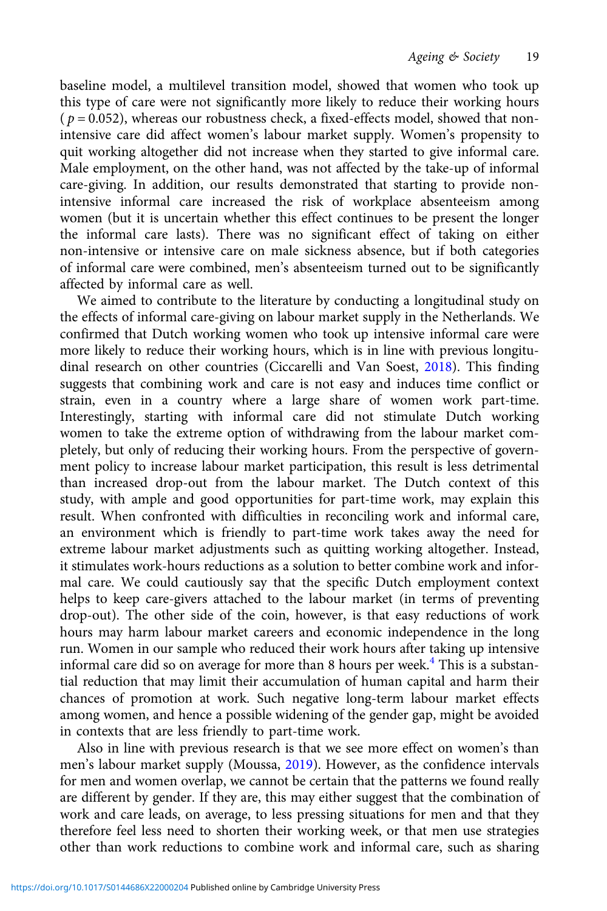baseline model, a multilevel transition model, showed that women who took up this type of care were not significantly more likely to reduce their working hours  $(p = 0.052)$ , whereas our robustness check, a fixed-effects model, showed that nonintensive care did affect women's labour market supply. Women's propensity to quit working altogether did not increase when they started to give informal care. Male employment, on the other hand, was not affected by the take-up of informal care-giving. In addition, our results demonstrated that starting to provide nonintensive informal care increased the risk of workplace absenteeism among women (but it is uncertain whether this effect continues to be present the longer the informal care lasts). There was no significant effect of taking on either non-intensive or intensive care on male sickness absence, but if both categories of informal care were combined, men's absenteeism turned out to be significantly affected by informal care as well.

We aimed to contribute to the literature by conducting a longitudinal study on the effects of informal care-giving on labour market supply in the Netherlands. We confirmed that Dutch working women who took up intensive informal care were more likely to reduce their working hours, which is in line with previous longitudinal research on other countries (Ciccarelli and Van Soest, [2018\)](#page-21-0). This finding suggests that combining work and care is not easy and induces time conflict or strain, even in a country where a large share of women work part-time. Interestingly, starting with informal care did not stimulate Dutch working women to take the extreme option of withdrawing from the labour market completely, but only of reducing their working hours. From the perspective of government policy to increase labour market participation, this result is less detrimental than increased drop-out from the labour market. The Dutch context of this study, with ample and good opportunities for part-time work, may explain this result. When confronted with difficulties in reconciling work and informal care, an environment which is friendly to part-time work takes away the need for extreme labour market adjustments such as quitting working altogether. Instead, it stimulates work-hours reductions as a solution to better combine work and informal care. We could cautiously say that the specific Dutch employment context helps to keep care-givers attached to the labour market (in terms of preventing drop-out). The other side of the coin, however, is that easy reductions of work hours may harm labour market careers and economic independence in the long run. Women in our sample who reduced their work hours after taking up intensive informal care did so on average for more than 8 hours per week.<sup>[4](#page-21-0)</sup> This is a substantial reduction that may limit their accumulation of human capital and harm their chances of promotion at work. Such negative long-term labour market effects among women, and hence a possible widening of the gender gap, might be avoided in contexts that are less friendly to part-time work.

Also in line with previous research is that we see more effect on women's than men's labour market supply (Moussa, [2019](#page-22-0)). However, as the confidence intervals for men and women overlap, we cannot be certain that the patterns we found really are different by gender. If they are, this may either suggest that the combination of work and care leads, on average, to less pressing situations for men and that they therefore feel less need to shorten their working week, or that men use strategies other than work reductions to combine work and informal care, such as sharing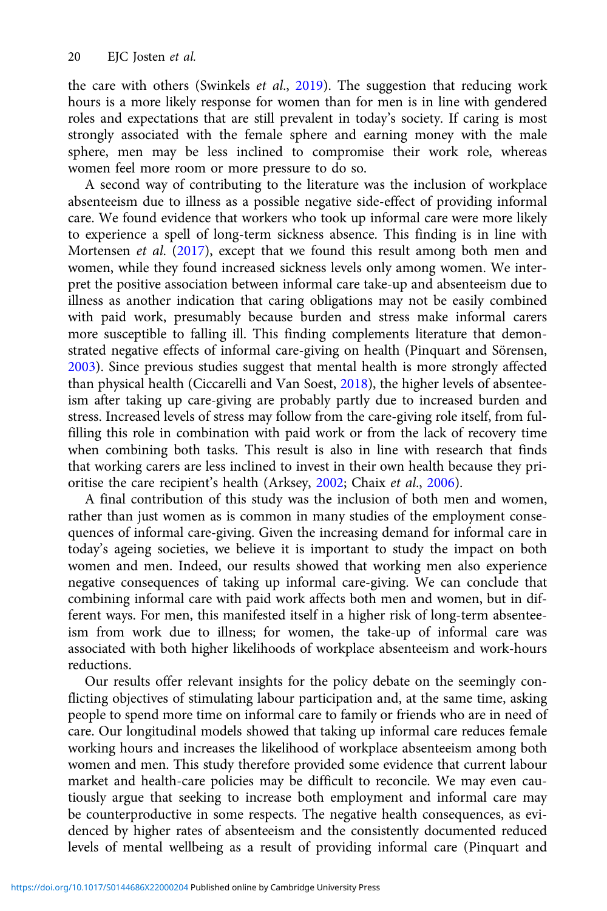the care with others (Swinkels et al., [2019](#page-23-0)). The suggestion that reducing work hours is a more likely response for women than for men is in line with gendered roles and expectations that are still prevalent in today's society. If caring is most strongly associated with the female sphere and earning money with the male sphere, men may be less inclined to compromise their work role, whereas women feel more room or more pressure to do so.

A second way of contributing to the literature was the inclusion of workplace absenteeism due to illness as a possible negative side-effect of providing informal care. We found evidence that workers who took up informal care were more likely to experience a spell of long-term sickness absence. This finding is in line with Mortensen et al. ([2017](#page-22-0)), except that we found this result among both men and women, while they found increased sickness levels only among women. We interpret the positive association between informal care take-up and absenteeism due to illness as another indication that caring obligations may not be easily combined with paid work, presumably because burden and stress make informal carers more susceptible to falling ill. This finding complements literature that demonstrated negative effects of informal care-giving on health (Pinquart and Sörensen, [2003\)](#page-22-0). Since previous studies suggest that mental health is more strongly affected than physical health (Ciccarelli and Van Soest, [2018](#page-21-0)), the higher levels of absenteeism after taking up care-giving are probably partly due to increased burden and stress. Increased levels of stress may follow from the care-giving role itself, from fulfilling this role in combination with paid work or from the lack of recovery time when combining both tasks. This result is also in line with research that finds that working carers are less inclined to invest in their own health because they prioritise the care recipient's health (Arksey, [2002;](#page-21-0) Chaix et al., [2006\)](#page-21-0).

A final contribution of this study was the inclusion of both men and women, rather than just women as is common in many studies of the employment consequences of informal care-giving. Given the increasing demand for informal care in today's ageing societies, we believe it is important to study the impact on both women and men. Indeed, our results showed that working men also experience negative consequences of taking up informal care-giving. We can conclude that combining informal care with paid work affects both men and women, but in different ways. For men, this manifested itself in a higher risk of long-term absenteeism from work due to illness; for women, the take-up of informal care was associated with both higher likelihoods of workplace absenteeism and work-hours reductions.

Our results offer relevant insights for the policy debate on the seemingly conflicting objectives of stimulating labour participation and, at the same time, asking people to spend more time on informal care to family or friends who are in need of care. Our longitudinal models showed that taking up informal care reduces female working hours and increases the likelihood of workplace absenteeism among both women and men. This study therefore provided some evidence that current labour market and health-care policies may be difficult to reconcile. We may even cautiously argue that seeking to increase both employment and informal care may be counterproductive in some respects. The negative health consequences, as evidenced by higher rates of absenteeism and the consistently documented reduced levels of mental wellbeing as a result of providing informal care (Pinquart and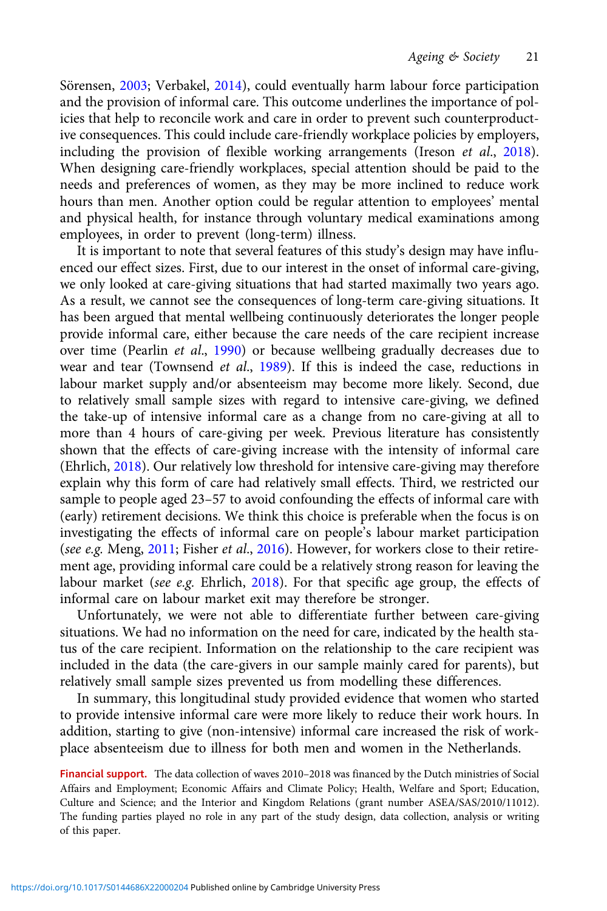Sörensen, [2003;](#page-22-0) Verbakel, [2014\)](#page-23-0), could eventually harm labour force participation and the provision of informal care. This outcome underlines the importance of policies that help to reconcile work and care in order to prevent such counterproductive consequences. This could include care-friendly workplace policies by employers, including the provision of flexible working arrangements (Ireson et al., [2018\)](#page-22-0). When designing care-friendly workplaces, special attention should be paid to the needs and preferences of women, as they may be more inclined to reduce work hours than men. Another option could be regular attention to employees' mental and physical health, for instance through voluntary medical examinations among employees, in order to prevent (long-term) illness.

It is important to note that several features of this study's design may have influenced our effect sizes. First, due to our interest in the onset of informal care-giving, we only looked at care-giving situations that had started maximally two years ago. As a result, we cannot see the consequences of long-term care-giving situations. It has been argued that mental wellbeing continuously deteriorates the longer people provide informal care, either because the care needs of the care recipient increase over time (Pearlin et al., [1990](#page-22-0)) or because wellbeing gradually decreases due to wear and tear (Townsend et al., [1989\)](#page-23-0). If this is indeed the case, reductions in labour market supply and/or absenteeism may become more likely. Second, due to relatively small sample sizes with regard to intensive care-giving, we defined the take-up of intensive informal care as a change from no care-giving at all to more than 4 hours of care-giving per week. Previous literature has consistently shown that the effects of care-giving increase with the intensity of informal care (Ehrlich, [2018](#page-21-0)). Our relatively low threshold for intensive care-giving may therefore explain why this form of care had relatively small effects. Third, we restricted our sample to people aged 23–57 to avoid confounding the effects of informal care with (early) retirement decisions. We think this choice is preferable when the focus is on investigating the effects of informal care on people's labour market participation (see e.g. Meng, [2011;](#page-22-0) Fisher et al., [2016\)](#page-22-0). However, for workers close to their retirement age, providing informal care could be a relatively strong reason for leaving the labour market (see e.g. Ehrlich, [2018](#page-21-0)). For that specific age group, the effects of informal care on labour market exit may therefore be stronger.

Unfortunately, we were not able to differentiate further between care-giving situations. We had no information on the need for care, indicated by the health status of the care recipient. Information on the relationship to the care recipient was included in the data (the care-givers in our sample mainly cared for parents), but relatively small sample sizes prevented us from modelling these differences.

In summary, this longitudinal study provided evidence that women who started to provide intensive informal care were more likely to reduce their work hours. In addition, starting to give (non-intensive) informal care increased the risk of workplace absenteeism due to illness for both men and women in the Netherlands.

Financial support. The data collection of waves 2010–2018 was financed by the Dutch ministries of Social Affairs and Employment; Economic Affairs and Climate Policy; Health, Welfare and Sport; Education, Culture and Science; and the Interior and Kingdom Relations (grant number ASEA/SAS/2010/11012). The funding parties played no role in any part of the study design, data collection, analysis or writing of this paper.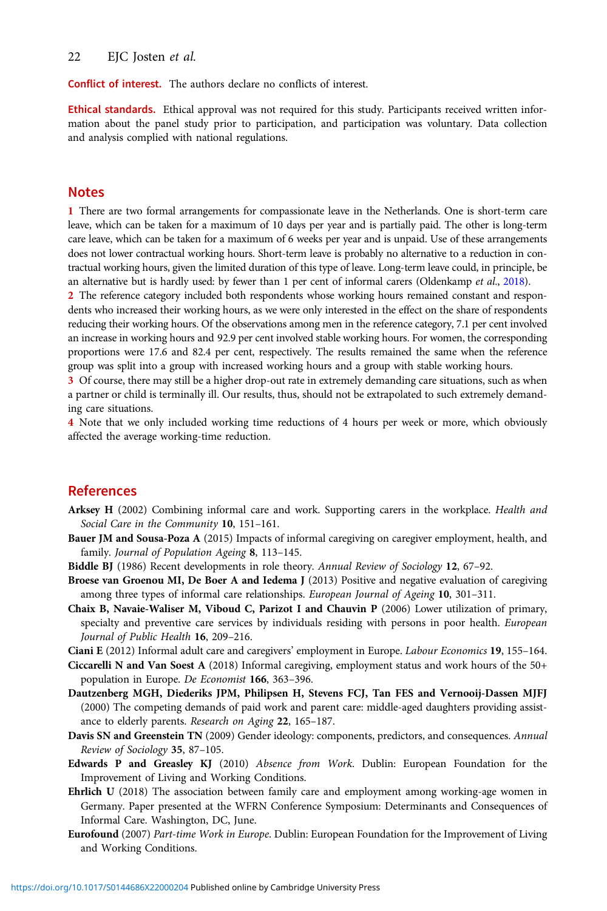#### <span id="page-21-0"></span>22 EIC Josten et al.

Conflict of interest. The authors declare no conflicts of interest.

Ethical standards. Ethical approval was not required for this study. Participants received written information about the panel study prior to participation, and participation was voluntary. Data collection and analysis complied with national regulations.

#### Notes

1 There are two formal arrangements for compassionate leave in the Netherlands. One is short-term care leave, which can be taken for a maximum of 10 days per year and is partially paid. The other is long-term care leave, which can be taken for a maximum of 6 weeks per year and is unpaid. Use of these arrangements does not lower contractual working hours. Short-term leave is probably no alternative to a reduction in contractual working hours, given the limited duration of this type of leave. Long-term leave could, in principle, be an alternative but is hardly used: by fewer than 1 per cent of informal carers (Oldenkamp et al., [2018](#page-22-0)).

2 The reference category included both respondents whose working hours remained constant and respondents who increased their working hours, as we were only interested in the effect on the share of respondents reducing their working hours. Of the observations among men in the reference category, 7.1 per cent involved an increase in working hours and 92.9 per cent involved stable working hours. For women, the corresponding proportions were 17.6 and 82.4 per cent, respectively. The results remained the same when the reference group was split into a group with increased working hours and a group with stable working hours.

3 Of course, there may still be a higher drop-out rate in extremely demanding care situations, such as when a partner or child is terminally ill. Our results, thus, should not be extrapolated to such extremely demanding care situations.

4 Note that we only included working time reductions of 4 hours per week or more, which obviously affected the average working-time reduction.

## References

- Arksey H (2002) Combining informal care and work. Supporting carers in the workplace. Health and Social Care in the Community 10, 151–161.
- Bauer JM and Sousa-Poza A (2015) Impacts of informal caregiving on caregiver employment, health, and family. Journal of Population Ageing 8, 113–145.
- Biddle BJ (1986) Recent developments in role theory. Annual Review of Sociology 12, 67–92.
- Broese van Groenou MI, De Boer A and Iedema J (2013) Positive and negative evaluation of caregiving among three types of informal care relationships. European Journal of Ageing 10, 301-311.
- Chaix B, Navaie-Waliser M, Viboud C, Parizot I and Chauvin P (2006) Lower utilization of primary, specialty and preventive care services by individuals residing with persons in poor health. European Journal of Public Health 16, 209–216.
- Ciani E (2012) Informal adult care and caregivers' employment in Europe. Labour Economics 19, 155–164.
- Ciccarelli N and Van Soest A (2018) Informal caregiving, employment status and work hours of the 50+ population in Europe. De Economist 166, 363–396.
- Dautzenberg MGH, Diederiks JPM, Philipsen H, Stevens FCJ, Tan FES and Vernooij-Dassen MJFJ (2000) The competing demands of paid work and parent care: middle-aged daughters providing assistance to elderly parents. Research on Aging 22, 165–187.
- Davis SN and Greenstein TN (2009) Gender ideology: components, predictors, and consequences. Annual Review of Sociology 35, 87–105.
- Edwards P and Greasley KJ (2010) Absence from Work. Dublin: European Foundation for the Improvement of Living and Working Conditions.
- Ehrlich U (2018) The association between family care and employment among working-age women in Germany. Paper presented at the WFRN Conference Symposium: Determinants and Consequences of Informal Care. Washington, DC, June.
- Eurofound (2007) Part-time Work in Europe. Dublin: European Foundation for the Improvement of Living and Working Conditions.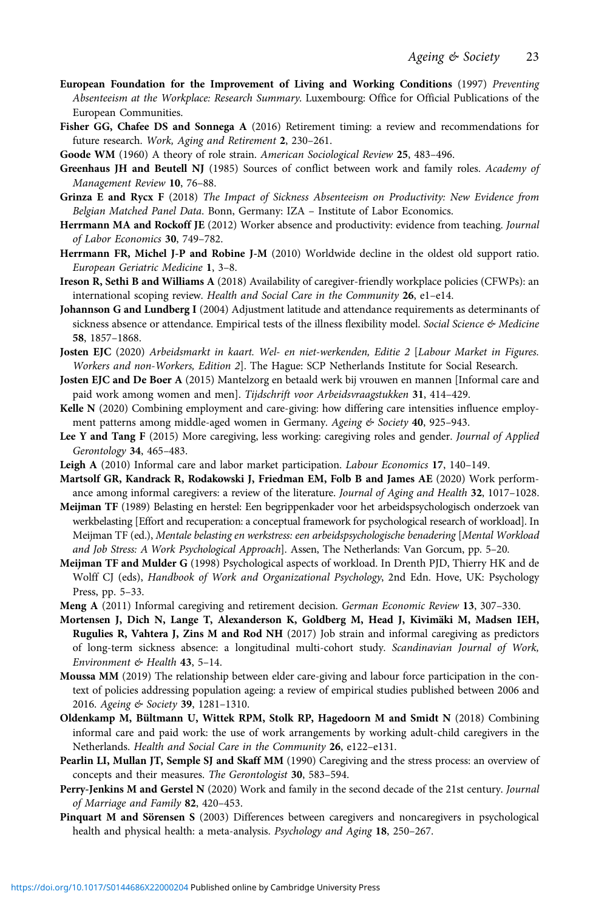- <span id="page-22-0"></span>European Foundation for the Improvement of Living and Working Conditions (1997) Preventing Absenteeism at the Workplace: Research Summary. Luxembourg: Office for Official Publications of the European Communities.
- Fisher GG, Chafee DS and Sonnega A (2016) Retirement timing: a review and recommendations for future research. Work, Aging and Retirement 2, 230–261.
- Goode WM (1960) A theory of role strain. American Sociological Review 25, 483–496.
- Greenhaus JH and Beutell NJ (1985) Sources of conflict between work and family roles. Academy of Management Review 10, 76–88.
- Grinza E and Rycx F (2018) The Impact of Sickness Absenteeism on Productivity: New Evidence from Belgian Matched Panel Data. Bonn, Germany: IZA – Institute of Labor Economics.
- Herrmann MA and Rockoff JE (2012) Worker absence and productivity: evidence from teaching. Journal of Labor Economics 30, 749–782.
- Herrmann FR, Michel J-P and Robine J-M (2010) Worldwide decline in the oldest old support ratio. European Geriatric Medicine 1, 3–8.
- Ireson R, Sethi B and Williams A (2018) Availability of caregiver-friendly workplace policies (CFWPs): an international scoping review. Health and Social Care in the Community 26, e1–e14.
- Johannson G and Lundberg I (2004) Adjustment latitude and attendance requirements as determinants of sickness absence or attendance. Empirical tests of the illness flexibility model. Social Science & Medicine 58, 1857–1868.
- Josten EJC (2020) Arbeidsmarkt in kaart. Wel- en niet-werkenden, Editie 2 [Labour Market in Figures. Workers and non-Workers, Edition 2]. The Hague: SCP Netherlands Institute for Social Research.
- Josten EJC and De Boer A (2015) Mantelzorg en betaald werk bij vrouwen en mannen [Informal care and paid work among women and men]. Tijdschrift voor Arbeidsvraagstukken 31, 414–429.
- Kelle N (2020) Combining employment and care-giving: how differing care intensities influence employment patterns among middle-aged women in Germany. Ageing & Society 40, 925-943.
- Lee Y and Tang F (2015) More caregiving, less working: caregiving roles and gender. Journal of Applied Gerontology 34, 465–483.
- Leigh A (2010) Informal care and labor market participation. Labour Economics 17, 140–149.
- Martsolf GR, Kandrack R, Rodakowski J, Friedman EM, Folb B and James AE (2020) Work performance among informal caregivers: a review of the literature. Journal of Aging and Health 32, 1017-1028.
- Meijman TF (1989) Belasting en herstel: Een begrippenkader voor het arbeidspsychologisch onderzoek van werkbelasting [Effort and recuperation: a conceptual framework for psychological research of workload]. In Meijman TF (ed.), Mentale belasting en werkstress: een arbeidspsychologische benadering [Mental Workload and Job Stress: A Work Psychological Approach]. Assen, The Netherlands: Van Gorcum, pp. 5–20.
- Meijman TF and Mulder G (1998) Psychological aspects of workload. In Drenth PJD, Thierry HK and de Wolff CJ (eds), Handbook of Work and Organizational Psychology, 2nd Edn. Hove, UK: Psychology Press, pp. 5–33.
- Meng A (2011) Informal caregiving and retirement decision. German Economic Review 13, 307–330.
- Mortensen J, Dich N, Lange T, Alexanderson K, Goldberg M, Head J, Kivimäki M, Madsen IEH, Rugulies R, Vahtera J, Zins M and Rod NH (2017) Job strain and informal caregiving as predictors of long-term sickness absence: a longitudinal multi-cohort study. Scandinavian Journal of Work, Environment & Health 43, 5–14.
- Moussa MM (2019) The relationship between elder care-giving and labour force participation in the context of policies addressing population ageing: a review of empirical studies published between 2006 and 2016. Ageing & Society 39, 1281-1310.
- Oldenkamp M, Bültmann U, Wittek RPM, Stolk RP, Hagedoorn M and Smidt N (2018) Combining informal care and paid work: the use of work arrangements by working adult-child caregivers in the Netherlands. Health and Social Care in the Community 26, e122–e131.
- Pearlin LI, Mullan JT, Semple SJ and Skaff MM (1990) Caregiving and the stress process: an overview of concepts and their measures. The Gerontologist 30, 583–594.
- Perry-Jenkins M and Gerstel N (2020) Work and family in the second decade of the 21st century. Journal of Marriage and Family 82, 420–453.
- Pinquart M and Sörensen S (2003) Differences between caregivers and noncaregivers in psychological health and physical health: a meta-analysis. Psychology and Aging 18, 250-267.